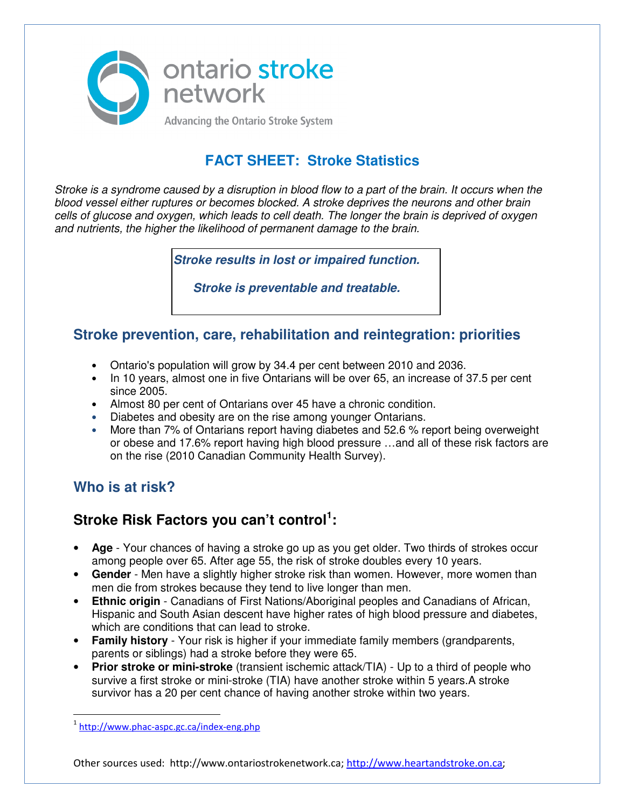

# **FACT SHEET: Stroke Statistics**

Stroke is a syndrome caused by a disruption in blood flow to a part of the brain. It occurs when the blood vessel either ruptures or becomes blocked. A stroke deprives the neurons and other brain cells of glucose and oxygen, which leads to cell death. The longer the brain is deprived of oxygen and nutrients, the higher the likelihood of permanent damage to the brain.

**Stroke results in lost or impaired function.** 

**Stroke is preventable and treatable.**

#### **Stroke prevention, care, rehabilitation and reintegration: priorities**

- Ontario's population will grow by 34.4 per cent between 2010 and 2036.
- In 10 years, almost one in five Ontarians will be over 65, an increase of 37.5 per cent since 2005.
- Almost 80 per cent of Ontarians over 45 have a chronic condition.
- Diabetes and obesity are on the rise among younger Ontarians.
- More than 7% of Ontarians report having diabetes and 52.6 % report being overweight or obese and 17.6% report having high blood pressure …and all of these risk factors are on the rise (2010 Canadian Community Health Survey).

## **Who is at risk?**

## **Stroke Risk Factors you can't control<sup>1</sup> :**

- **Age** Your chances of having a stroke go up as you get older. Two thirds of strokes occur among people over 65. After age 55, the risk of stroke doubles every 10 years.
- **Gender** Men have a slightly higher stroke risk than women. However, more women than men die from strokes because they tend to live longer than men.
- **Ethnic origin** Canadians of First Nations/Aboriginal peoples and Canadians of African, Hispanic and South Asian descent have higher rates of high blood pressure and diabetes, which are conditions that can lead to stroke.
- **Family history** Your risk is higher if your immediate family members (grandparents, parents or siblings) had a stroke before they were 65.
- **Prior stroke or mini-stroke** (transient ischemic attack/TIA) Up to a third of people who survive a first stroke or mini-stroke (TIA) have another stroke within 5 years.A stroke survivor has a 20 per cent chance of having another stroke within two years.

-

Other sources used: http://www.ontariostrokenetwork.ca; http://www.heartandstroke.on.ca;

<sup>&</sup>lt;sup>1</sup>http://www.phac-aspc.gc.ca/index-eng.php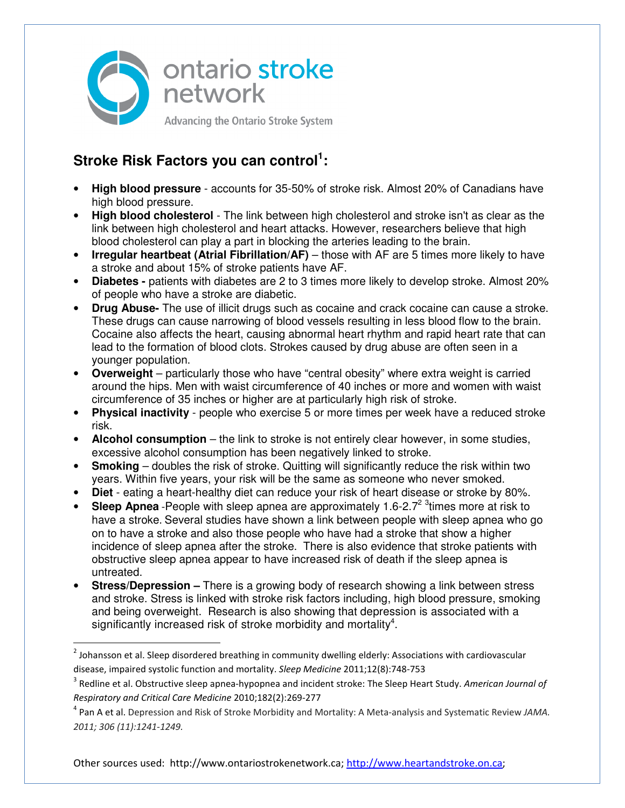

## **Stroke Risk Factors you can control<sup>1</sup> :**

 $\overline{\phantom{0}}$ 

- **High blood pressure** accounts for 35-50% of stroke risk. Almost 20% of Canadians have high blood pressure.
- **High blood cholesterol** The link between high cholesterol and stroke isn't as clear as the link between high cholesterol and heart attacks. However, researchers believe that high blood cholesterol can play a part in blocking the arteries leading to the brain.
- **Irregular heartbeat (Atrial Fibrillation/AF)** those with AF are 5 times more likely to have a stroke and about 15% of stroke patients have AF.
- **Diabetes -** patients with diabetes are 2 to 3 times more likely to develop stroke. Almost 20% of people who have a stroke are diabetic.
- **Drug Abuse-** The use of illicit drugs such as cocaine and crack cocaine can cause a stroke. These drugs can cause narrowing of blood vessels resulting in less blood flow to the brain. Cocaine also affects the heart, causing abnormal heart rhythm and rapid heart rate that can lead to the formation of blood clots. Strokes caused by drug abuse are often seen in a younger population.
- **Overweight** particularly those who have "central obesity" where extra weight is carried around the hips. Men with waist circumference of 40 inches or more and women with waist circumference of 35 inches or higher are at particularly high risk of stroke.
- **Physical inactivity** people who exercise 5 or more times per week have a reduced stroke risk.
- **Alcohol consumption** the link to stroke is not entirely clear however, in some studies, excessive alcohol consumption has been negatively linked to stroke.
- **Smoking** doubles the risk of stroke. Quitting will significantly reduce the risk within two years. Within five years, your risk will be the same as someone who never smoked.
- **Diet** eating a heart-healthy diet can reduce your risk of heart disease or stroke by 80%.
- Sleep Apnea -People with sleep apnea are approximately 1.6-2.7<sup>2 3</sup> times more at risk to have a stroke. Several studies have shown a link between people with sleep apnea who go on to have a stroke and also those people who have had a stroke that show a higher incidence of sleep apnea after the stroke. There is also evidence that stroke patients with obstructive sleep apnea appear to have increased risk of death if the sleep apnea is untreated.
- **Stress/Depression** There is a growing body of research showing a link between stress and stroke. Stress is linked with stroke risk factors including, high blood pressure, smoking and being overweight. Research is also showing that depression is associated with a significantly increased risk of stroke morbidity and mortality $4$ .

Other sources used: http://www.ontariostrokenetwork.ca; http://www.heartandstroke.on.ca;

<sup>&</sup>lt;sup>2</sup> Johansson et al. Sleep disordered breathing in community dwelling elderly: Associations with cardiovascular disease, impaired systolic function and mortality. *Sleep Medicine* 2011;12(8):748-753

<sup>3</sup> Redline et al. Obstructive sleep apnea-hypopnea and incident stroke: The Sleep Heart Study. *American Journal of Respiratory and Critical Care Medicine* 2010;182(2):269-277

<sup>4</sup> Pan A et al. Depression and Risk of Stroke Morbidity and Mortality: A Meta-analysis and Systematic Review *JAMA. 2011; 306 (11):1241-1249.*